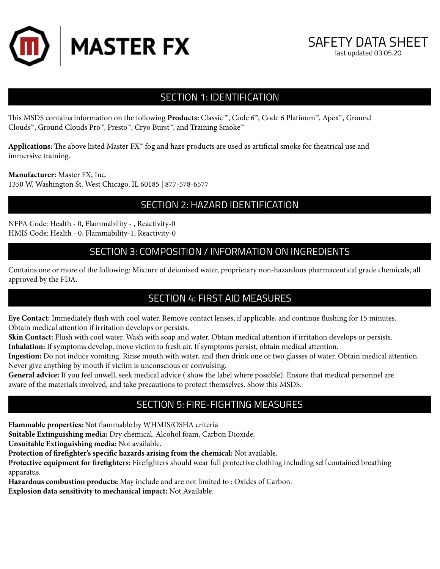



# SECTION 1: IDENTIFICATION

This MSDS contains information on the following **Products:** Classic ™, Code 6™, Code 6 Platinum™, Apex™, Ground Clouds™, Ground Clouds Pro™, Presto™, Cryo Burst™, and Training Smoke™

**Applications:** The above listed Master FX™ fog and haze products are used as artificial smoke for theatrical use and immersive training.

**Manufacturer:** Master FX, Inc.

1350 W. Washington St. West Chicago, IL 60185 | 877-578-6577

## SECTION 2: HAZARD IDENTIFICATION

NFPA Code: Health - 0, Flammability - , Reactivity-0 HMIS Code: Health - 0, Flammability-1, Reactivity-0

## SECTION 3: COMPOSITION / INFORMATION ON INGREDIENTS

Contains one or more of the following: Mixture of deionized water, proprietary non-hazardous pharmaceutical grade chemicals, all approved by the FDA.

# SECTION 4: FIRST AID MEASURES

**Eye Contact:** Immediately flush with cool water. Remove contact lenses, if applicable, and continue flushing for 15 minutes. Obtain medical attention if irritation develops or persists.

**Skin Contact:** Flush with cool water. Wash with soap and water. Obtain medical attention if irritation develops or persists. **Inhalation:** If symptoms develop, move victim to fresh air. If symptoms persist, obtain medical attention.

**Ingestion:** Do not induce vomiting. Rinse mouth with water, and then drink one or two glasses of water. Obtain medical attention. Never give anything by mouth if victim is unconscious or convulsing.

**General advice:** If you feel unwell, seek medical advice ( show the label where possible). Ensure that medical personnel are aware of the materials involved, and take precautions to protect themselves. Show this MSDS.

# SECTION 5: FIRE-FIGHTING MEASURES

**Flammable properties:** Not flammable by WHMIS/OSHA criteria

**Suitable Extinguishing media:** Dry chemical. Alcohol foam. Carbon Dioxide.

**Unsuitable Extinguishing media:** Not available.

**Protection of firefighter's specific hazards arising from the chemical:** Not available.

**Protective equipment for firefighters:** Firefighters should wear full protective clothing including self contained breathing apparatus.

**Hazardous combustion products:** May include and are not limited to : Oxides of Carbon.

**Explosion data sensitivity to mechanical impact:** Not Available.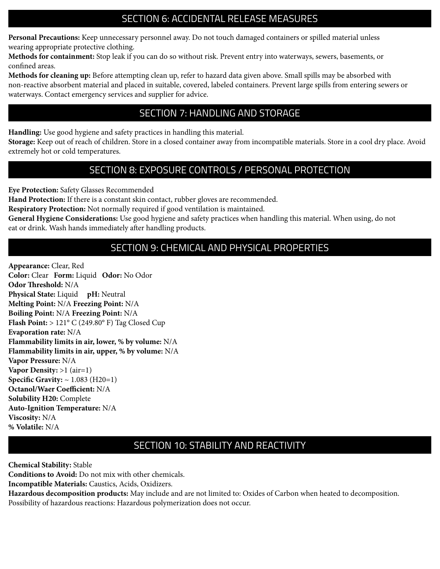# SECTION 6: ACCIDENTAL RELEASE MEASURES

**Personal Precautions:** Keep unnecessary personnel away. Do not touch damaged containers or spilled material unless wearing appropriate protective clothing.

**Methods for containment:** Stop leak if you can do so without risk. Prevent entry into waterways, sewers, basements, or confined areas.

**Methods for cleaning up:** Before attempting clean up, refer to hazard data given above. Small spills may be absorbed with non-reactive absorbent material and placed in suitable, covered, labeled containers. Prevent large spills from entering sewers or waterways. Contact emergency services and supplier for advice.

# SECTION 7: HANDLING AND STORAGE

**Handling:** Use good hygiene and safety practices in handling this material.

**Storage:** Keep out of reach of children. Store in a closed container away from incompatible materials. Store in a cool dry place. Avoid extremely hot or cold temperatures.

## SECTION 8: EXPOSURE CONTROLS / PERSONAL PROTECTION

**Eye Protection:** Safety Glasses Recommended

**Hand Protection:** If there is a constant skin contact, rubber gloves are recommended.

**Respiratory Protection:** Not normally required if good ventilation is maintained.

**General Hygiene Considerations:** Use good hygiene and safety practices when handling this material. When using, do not eat or drink. Wash hands immediately after handling products.

# SECTION 9: CHEMICAL AND PHYSICAL PROPERTIES

**Appearance:** Clear, Red **Color:** Clear **Form:** Liquid **Odor:** No Odor **Odor Threshold:** N/A **Physical State:** Liquid **pH:** Neutral **Melting Point:** N/A **Freezing Point:** N/A **Boiling Point:** N/A **Freezing Point:** N/A **Flash Point:** > 121° C (249.80° F) Tag Closed Cup **Evaporation rate:** N/A **Flammability limits in air, lower, % by volume:** N/A **Flammability limits in air, upper, % by volume:** N/A **Vapor Pressure:** N/A **Vapor Density:** >1 (air=1) **Specific Gravity:** ~ 1.083 (H20=1) **Octanol/Waer Coefficient:** N/A **Solubility H20:** Complete **Auto-Ignition Temperature:** N/A **Viscosity:** N/A **% Volatile:** N/A

# SECTION 10: STABILITY AND REACTIVITY

**Chemical Stability:** Stable

**Conditions to Avoid:** Do not mix with other chemicals.

**Incompatible Materials:** Caustics, Acids, Oxidizers.

**Hazardous decomposition products:** May include and are not limited to: Oxides of Carbon when heated to decomposition. Possibility of hazardous reactions: Hazardous polymerization does not occur.